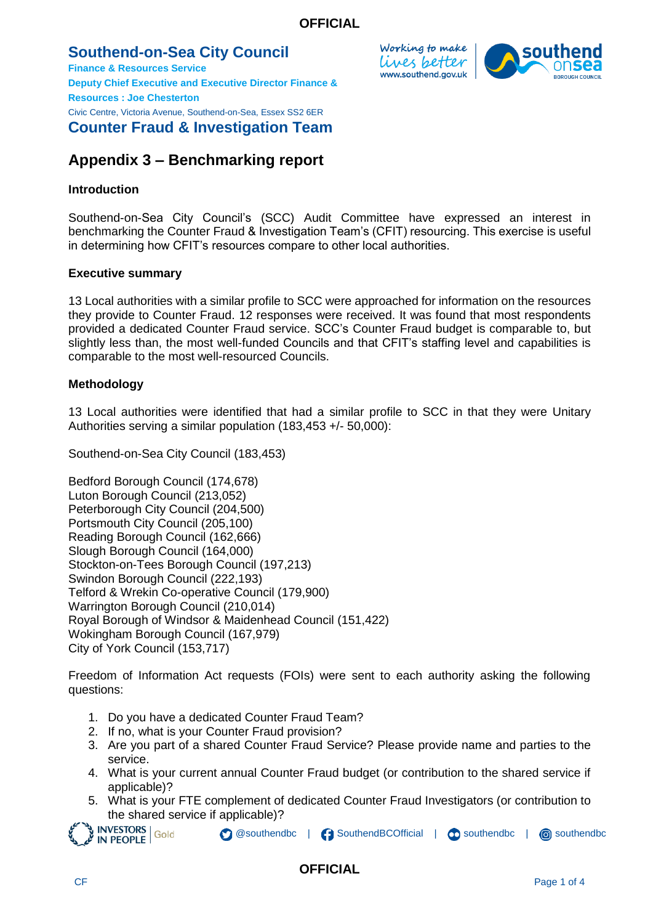## **Southend-on-Sea City Council**

**Finance & Resources Service Deputy Chief Executive and Executive Director Finance & Resources : Joe Chesterton** Civic Centre, Victoria Avenue, Southend-on-Sea, Essex SS2 6ER **Counter Fraud & Investigation Team**

# **Appendix 3 – Benchmarking report**

## **Introduction**

Southend-on-Sea City Council's (SCC) Audit Committee have expressed an interest in benchmarking the Counter Fraud & Investigation Team's (CFIT) resourcing. This exercise is useful in determining how CFIT's resources compare to other local authorities.

## **Executive summary**

13 Local authorities with a similar profile to SCC were approached for information on the resources they provide to Counter Fraud. 12 responses were received. It was found that most respondents provided a dedicated Counter Fraud service. SCC's Counter Fraud budget is comparable to, but slightly less than, the most well-funded Councils and that CFIT's staffing level and capabilities is comparable to the most well-resourced Councils.

## **Methodology**

13 Local authorities were identified that had a similar profile to SCC in that they were Unitary Authorities serving a similar population (183,453 +/- 50,000):

Southend-on-Sea City Council (183,453)

Bedford Borough Council (174,678) Luton Borough Council (213,052) Peterborough City Council (204,500) Portsmouth City Council (205,100) Reading Borough Council (162,666) Slough Borough Council (164,000) Stockton-on-Tees Borough Council (197,213) Swindon Borough Council (222,193) Telford & Wrekin Co-operative Council (179,900) Warrington Borough Council (210,014) Royal Borough of Windsor & Maidenhead Council (151,422) Wokingham Borough Council (167,979) City of York Council (153,717)

Freedom of Information Act requests (FOIs) were sent to each authority asking the following questions:

- 1. Do you have a dedicated Counter Fraud Team?
- 2. If no, what is your Counter Fraud provision?
- 3. Are you part of a shared Counter Fraud Service? Please provide name and parties to the service.
- 4. What is your current annual Counter Fraud budget (or contribution to the shared service if applicable)?
- 5. What is your FTE complement of dedicated Counter Fraud Investigators (or contribution to

**O** @southendbc | C SouthendBCOfficial | C southendbc | C southendbc the shared service if applicable)?<br>
NESTORS Gold<br>
NESPLE Gold<br>
NESPLE COL



Working to make lives better www.southend.gov.uk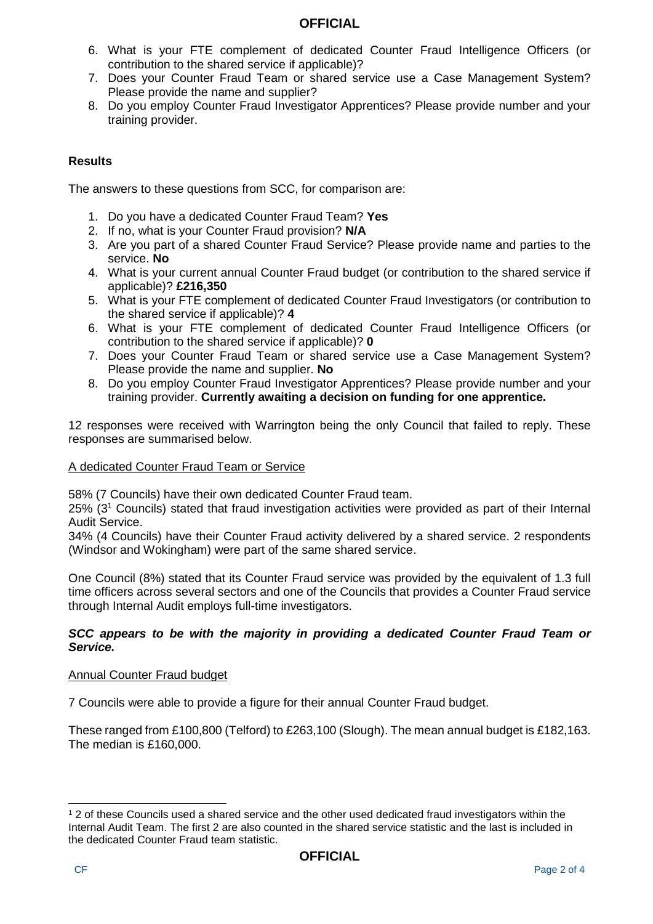## **OFFICIAL**

- 6. What is your FTE complement of dedicated Counter Fraud Intelligence Officers (or contribution to the shared service if applicable)?
- 7. Does your Counter Fraud Team or shared service use a Case Management System? Please provide the name and supplier?
- 8. Do you employ Counter Fraud Investigator Apprentices? Please provide number and your training provider.

## **Results**

The answers to these questions from SCC, for comparison are:

- 1. Do you have a dedicated Counter Fraud Team? **Yes**
- 2. If no, what is your Counter Fraud provision? **N/A**
- 3. Are you part of a shared Counter Fraud Service? Please provide name and parties to the service. **No**
- 4. What is your current annual Counter Fraud budget (or contribution to the shared service if applicable)? **£216,350**
- 5. What is your FTE complement of dedicated Counter Fraud Investigators (or contribution to the shared service if applicable)? **4**
- 6. What is your FTE complement of dedicated Counter Fraud Intelligence Officers (or contribution to the shared service if applicable)? **0**
- 7. Does your Counter Fraud Team or shared service use a Case Management System? Please provide the name and supplier. **No**
- 8. Do you employ Counter Fraud Investigator Apprentices? Please provide number and your training provider. **Currently awaiting a decision on funding for one apprentice.**

12 responses were received with Warrington being the only Council that failed to reply. These responses are summarised below.

#### A dedicated Counter Fraud Team or Service

58% (7 Councils) have their own dedicated Counter Fraud team.

25% (3<sup>1</sup> Councils) stated that fraud investigation activities were provided as part of their Internal Audit Service.

34% (4 Councils) have their Counter Fraud activity delivered by a shared service. 2 respondents (Windsor and Wokingham) were part of the same shared service.

One Council (8%) stated that its Counter Fraud service was provided by the equivalent of 1.3 full time officers across several sectors and one of the Councils that provides a Counter Fraud service through Internal Audit employs full-time investigators.

#### *SCC appears to be with the majority in providing a dedicated Counter Fraud Team or Service.*

#### Annual Counter Fraud budget

7 Councils were able to provide a figure for their annual Counter Fraud budget.

These ranged from £100,800 (Telford) to £263,100 (Slough). The mean annual budget is £182,163. The median is £160,000.

l

<sup>1</sup> 2 of these Councils used a shared service and the other used dedicated fraud investigators within the Internal Audit Team. The first 2 are also counted in the shared service statistic and the last is included in the dedicated Counter Fraud team statistic.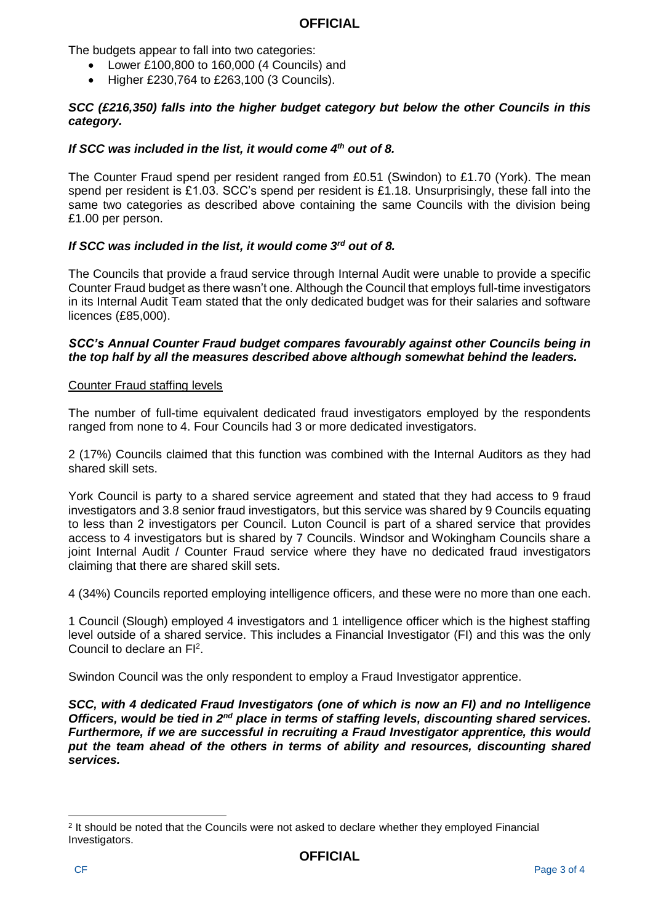#### **OFFICIAL**

The budgets appear to fall into two categories:

- Lower £100,800 to 160,000 (4 Councils) and
- Higher £230,764 to £263,100 (3 Councils).

#### *SCC (£216,350) falls into the higher budget category but below the other Councils in this category.*

#### *If SCC was included in the list, it would come 4th out of 8.*

The Counter Fraud spend per resident ranged from £0.51 (Swindon) to £1.70 (York). The mean spend per resident is £1.03. SCC's spend per resident is £1.18. Unsurprisingly, these fall into the same two categories as described above containing the same Councils with the division being £1.00 per person.

#### *If SCC was included in the list, it would come 3rd out of 8.*

The Councils that provide a fraud service through Internal Audit were unable to provide a specific Counter Fraud budget as there wasn't one. Although the Council that employs full-time investigators in its Internal Audit Team stated that the only dedicated budget was for their salaries and software licences (£85,000).

#### *SCC's Annual Counter Fraud budget compares favourably against other Councils being in the top half by all the measures described above although somewhat behind the leaders.*

#### Counter Fraud staffing levels

The number of full-time equivalent dedicated fraud investigators employed by the respondents ranged from none to 4. Four Councils had 3 or more dedicated investigators.

2 (17%) Councils claimed that this function was combined with the Internal Auditors as they had shared skill sets.

York Council is party to a shared service agreement and stated that they had access to 9 fraud investigators and 3.8 senior fraud investigators, but this service was shared by 9 Councils equating to less than 2 investigators per Council. Luton Council is part of a shared service that provides access to 4 investigators but is shared by 7 Councils. Windsor and Wokingham Councils share a joint Internal Audit / Counter Fraud service where they have no dedicated fraud investigators claiming that there are shared skill sets.

4 (34%) Councils reported employing intelligence officers, and these were no more than one each.

1 Council (Slough) employed 4 investigators and 1 intelligence officer which is the highest staffing level outside of a shared service. This includes a Financial Investigator (FI) and this was the only Council to declare an  $FI<sup>2</sup>$ .

Swindon Council was the only respondent to employ a Fraud Investigator apprentice.

*SCC, with 4 dedicated Fraud Investigators (one of which is now an FI) and no Intelligence Officers, would be tied in 2nd place in terms of staffing levels, discounting shared services. Furthermore, if we are successful in recruiting a Fraud Investigator apprentice, this would put the team ahead of the others in terms of ability and resources, discounting shared services.*

l

<sup>&</sup>lt;sup>2</sup> It should be noted that the Councils were not asked to declare whether they employed Financial Investigators.